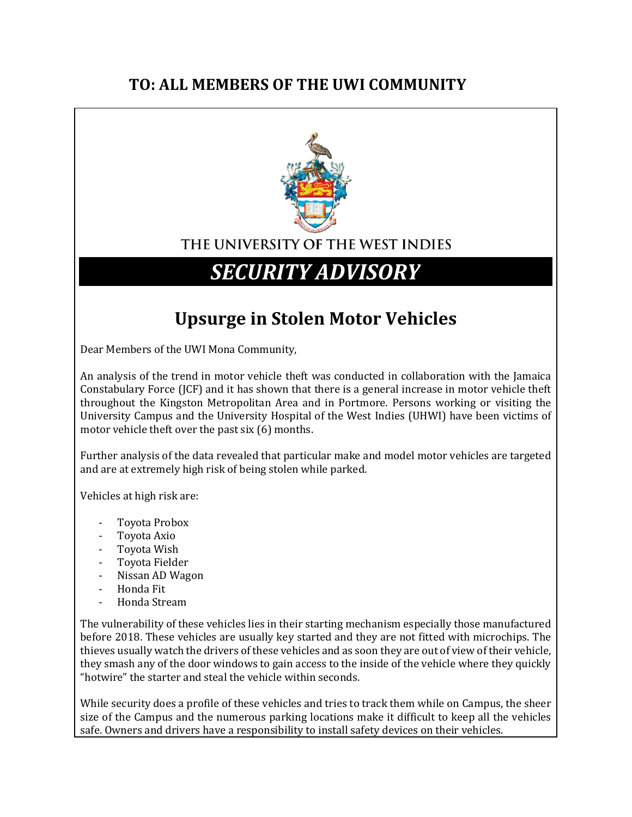## **TO: ALL MEMBERS OF THE UWI COMMUNITY**



### THE UNIVERSITY OF THE WEST INDIES

# *SECURITY ADVISORY*

## **Upsurge in Stolen Motor Vehicles**

Dear Members of the UWI Mona Community,

An analysis of the trend in motor vehicle theft was conducted in collaboration with the Jamaica Constabulary Force (JCF) and it has shown that there is a general increase in motor vehicle theft throughout the Kingston Metropolitan Area and in Portmore. Persons working or visiting the University Campus and the University Hospital of the West Indies (UHWI) have been victims of motor vehicle theft over the past six (6) months.

Further analysis of the data revealed that particular make and model motor vehicles are targeted and are at extremely high risk of being stolen while parked.

Vehicles at high risk are:

- Toyota Probox
- Toyota Axio
- Toyota Wish
- Toyota Fielder
- Nissan AD Wagon
- Honda Fit
- Honda Stream

The vulnerability of these vehicles lies in their starting mechanism especially those manufactured before 2018. These vehicles are usually key started and they are not fitted with microchips. The thieves usually watch the drivers of these vehicles and as soon they are out of view of their vehicle, they smash any of the door windows to gain access to the inside of the vehicle where they quickly "hotwire" the starter and steal the vehicle within seconds.

While security does a profile of these vehicles and tries to track them while on Campus, the sheer size of the Campus and the numerous parking locations make it difficult to keep all the vehicles safe. Owners and drivers have a responsibility to install safety devices on their vehicles.